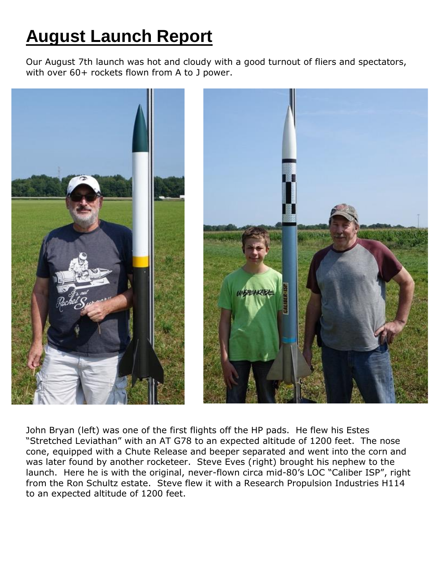## **August Launch Report**

Our August 7th launch was hot and cloudy with a good turnout of fliers and spectators, with over 60+ rockets flown from A to J power.



John Bryan (left) was one of the first flights off the HP pads. He flew his Estes "Stretched Leviathan" with an AT G78 to an expected altitude of 1200 feet. The nose cone, equipped with a Chute Release and beeper separated and went into the corn and was later found by another rocketeer. Steve Eves (right) brought his nephew to the launch. Here he is with the original, never-flown circa mid-80's LOC "Caliber ISP", right from the Ron Schultz estate. Steve flew it with a Research Propulsion Industries H114 to an expected altitude of 1200 feet.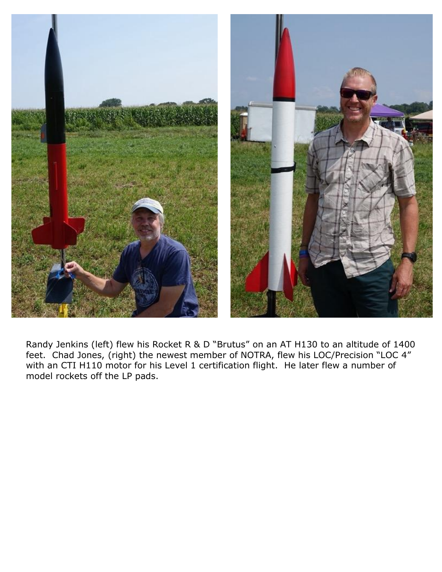

Randy Jenkins (left) flew his Rocket R & D "Brutus" on an AT H130 to an altitude of 1400 feet. Chad Jones, (right) the newest member of NOTRA, flew his LOC/Precision "LOC 4" with an CTI H110 motor for his Level 1 certification flight. He later flew a number of model rockets off the LP pads.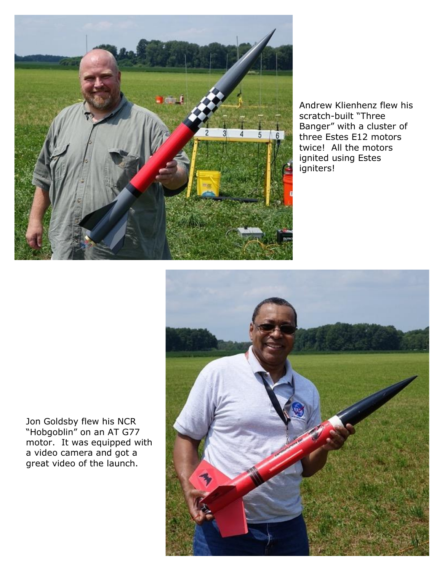

Andrew Klienhenz flew his scratch-built "Three Banger" with a cluster of three Estes E12 motors twice! All the motors ignited using Estes igniters!



Jon Goldsby flew his NCR "Hobgoblin" on an AT G77 motor. It was equipped with a video camera and got a great video of the launch.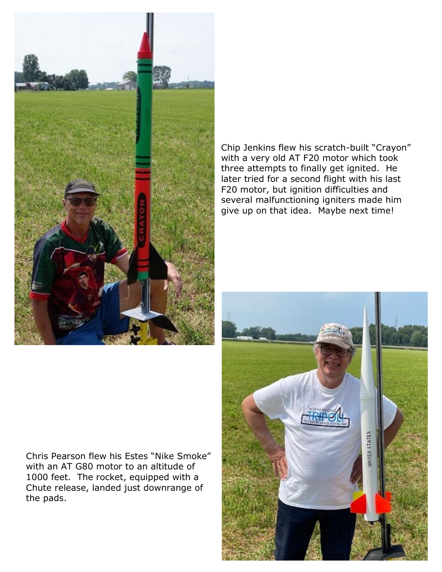

Chip Jenkins flew his scratch-built "Crayon" with a very old AT F20 motor which took three attempts to finally get ignited. He later tried for a second flight with his last F20 motor, but ignition difficulties and several malfunctioning igniters made him give up on that idea. Maybe next time!

Chris Pearson flew his Estes "Nike Smoke" with an AT G80 motor to an altitude of 1000 feet. The rocket, equipped with a Chute release, landed just downrange of the pads.

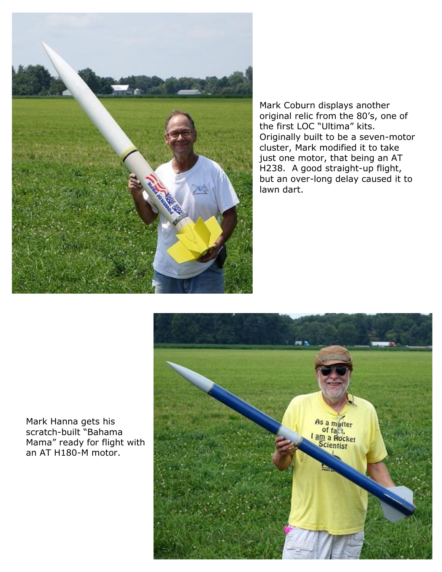

Mark Coburn displays another original relic from the 80's, one of the first LOC "Ultima" kits. Originally built to be a seven-motor cluster, Mark modified it to take just one motor, that being an AT H238. A good straight-up flight, but an over-long delay caused it to lawn dart.



Mark Hanna gets his scratch-built "Bahama Mama" ready for flight with an AT H180-M motor.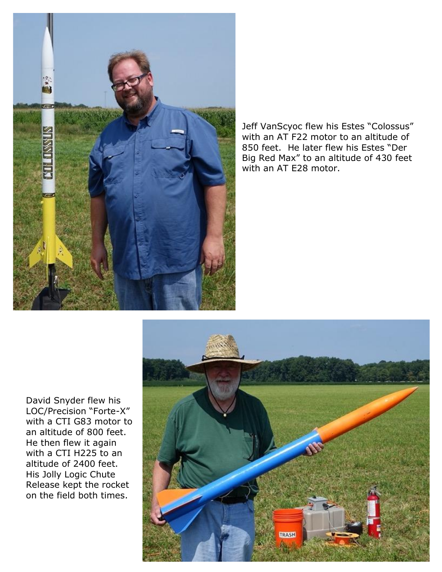

Jeff VanScyoc flew his Estes "Colossus" with an AT F22 motor to an altitude of 850 feet. He later flew his Estes "Der Big Red Max" to an altitude of 430 feet with an AT E28 motor.

David Snyder flew his LOC/Precision "Forte-X" with a CTI G83 motor to an altitude of 800 feet. He then flew it again with a CTI H225 to an altitude of 2400 feet. His Jolly Logic Chute Release kept the rocket on the field both times.

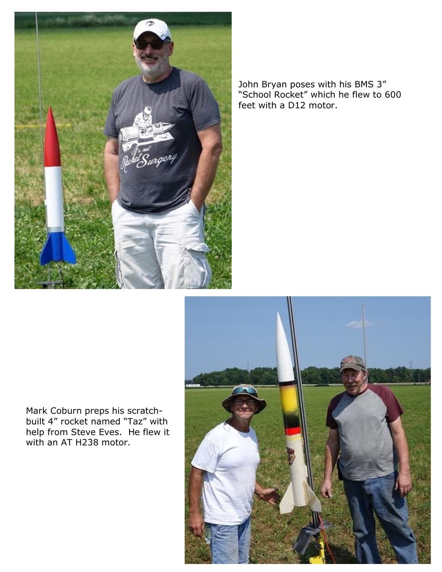

John Bryan poses with his BMS 3" "School Rocket" which he flew to 600 feet with a D12 motor.



Mark Coburn preps his scratchbuilt 4" rocket named "Taz" with help from Steve Eves. He flew it with an AT H238 motor.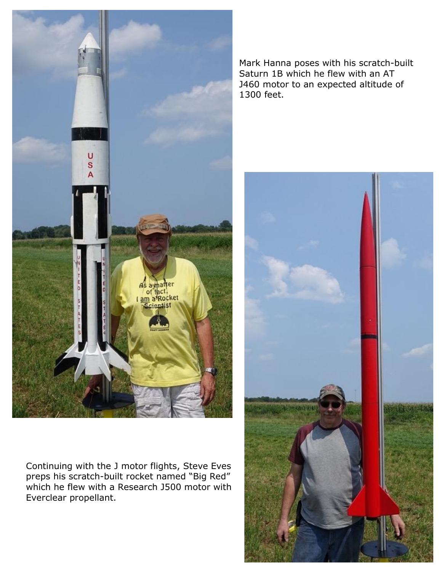

Continuing with the J motor flights, Steve Eves preps his scratch-built rocket named "Big Red" which he flew with a Research J500 motor with Everclear propellant.

Mark Hanna poses with his scratch-built Saturn 1B which he flew with an AT J460 motor to an expected altitude of 1300 feet.

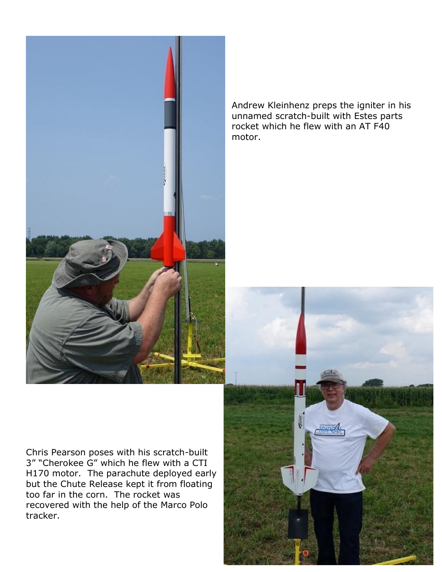

Andrew Kleinhenz preps the igniter in his unnamed scratch-built with Estes parts rocket which he flew with an AT F40 motor.

Chris Pearson poses with his scratch-built 3" "Cherokee G" which he flew with a CTI H170 motor. The parachute deployed early but the Chute Release kept it from floating too far in the corn. The rocket was recovered with the help of the Marco Polo tracker.

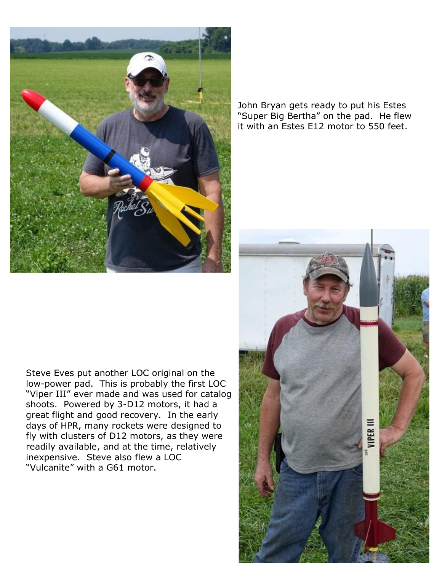

John Bryan gets ready to put his Estes "Super Big Bertha" on the pad. He flew it with an Estes E12 motor to 550 feet.

Steve Eves put another LOC original on the low-power pad. This is probably the first LOC "Viper III" ever made and was used for catalog shoots. Powered by 3-D12 motors, it had a great flight and good recovery. In the early days of HPR, many rockets were designed to fly with clusters of D12 motors, as they were readily available, and at the time, relatively inexpensive. Steve also flew a LOC "Vulcanite" with a G61 motor.